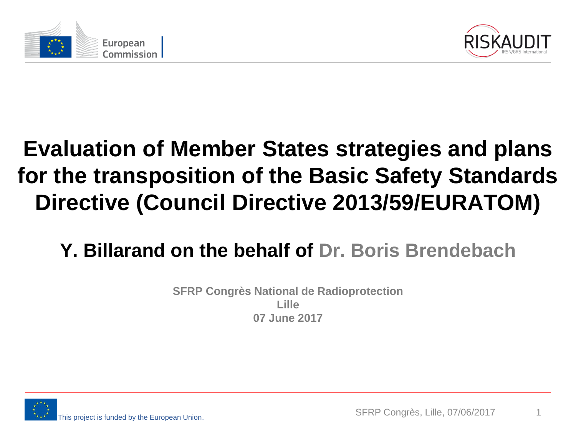



### **Evaluation of Member States strategies and plans for the transposition of the Basic Safety Standards Directive (Council Directive 2013/59/EURATOM)**

#### **Y. Billarand on the behalf of Dr. Boris Brendebach**

**SFRP Congrès National de Radioprotection Lille 07 June 2017**

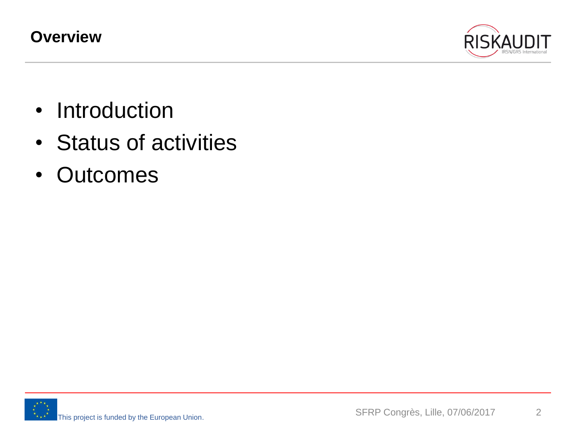**Overview**



- Introduction
- Status of activities
- Outcomes

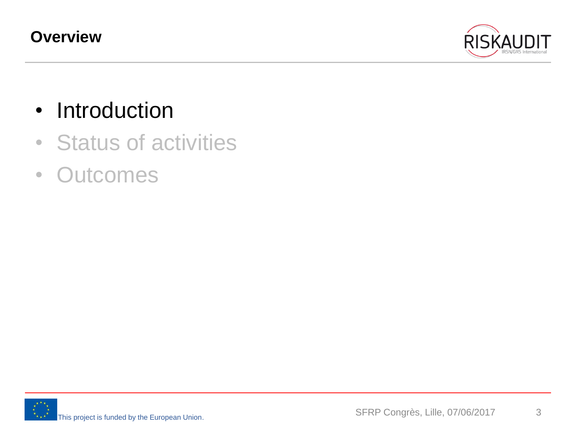

- Introduction
- Status of activities
- Outcomes

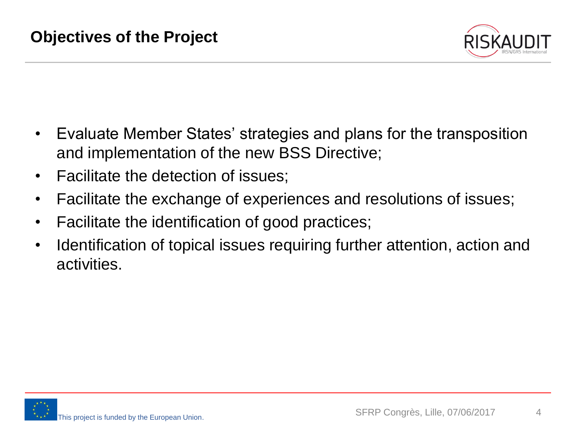

- Evaluate Member States' strategies and plans for the transposition and implementation of the new BSS Directive;
- Facilitate the detection of issues;
- Facilitate the exchange of experiences and resolutions of issues;
- Facilitate the identification of good practices;
- Identification of topical issues requiring further attention, action and activities.

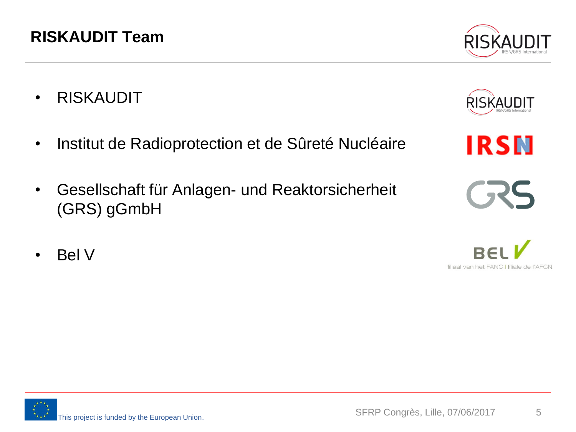• Bel V

#### **RISKAUDIT Team**

- RISKAUDIT
- Institut de Radioprotection et de Sûreté Nucléaire
- Gesellschaft für Anlagen- und Reaktorsicherheit (GRS) gGmbH







**IRSN** 



 $\blacksquare$ 

filiaal van het FANC I filiale de l'AFCN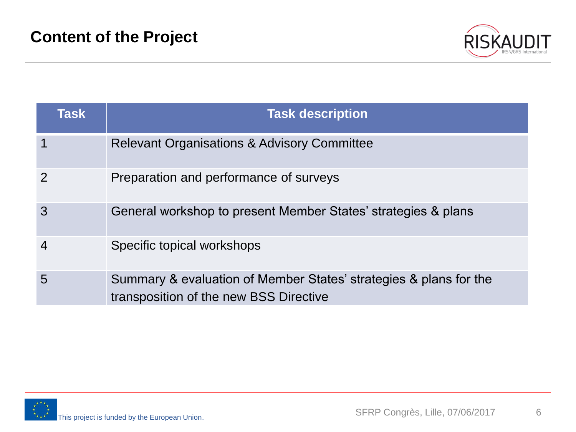

| <b>Task</b>    | <b>Task description</b>                                                                                     |
|----------------|-------------------------------------------------------------------------------------------------------------|
| 1              | <b>Relevant Organisations &amp; Advisory Committee</b>                                                      |
| $\overline{2}$ | Preparation and performance of surveys                                                                      |
| 3              | General workshop to present Member States' strategies & plans                                               |
| $\overline{4}$ | Specific topical workshops                                                                                  |
| 5              | Summary & evaluation of Member States' strategies & plans for the<br>transposition of the new BSS Directive |

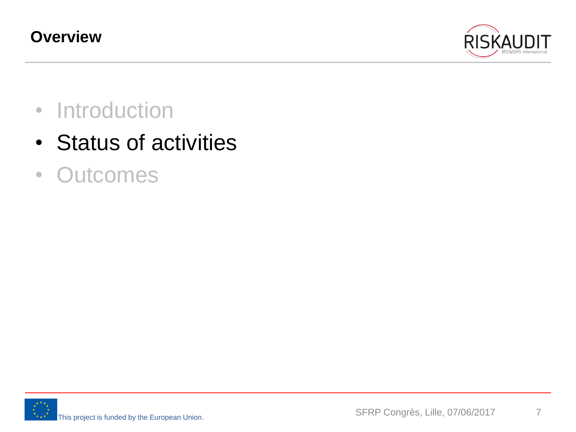

- Introduction
- Status of activities
- Outcomes

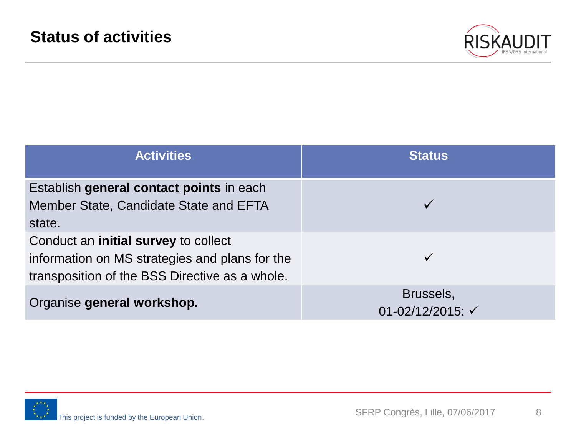

| <b>Activities</b>                                                                                                                               | <b>Status</b>                            |
|-------------------------------------------------------------------------------------------------------------------------------------------------|------------------------------------------|
| Establish general contact points in each<br>Member State, Candidate State and EFTA<br>state.                                                    |                                          |
| Conduct an <b>initial survey</b> to collect<br>information on MS strategies and plans for the<br>transposition of the BSS Directive as a whole. |                                          |
| Organise general workshop.                                                                                                                      | Brussels,<br>01-02/12/2015: $\checkmark$ |

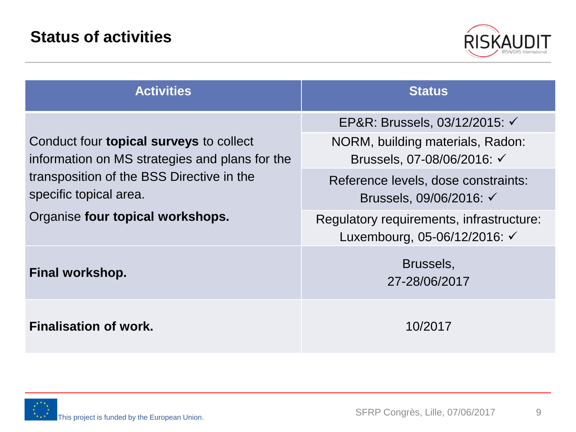

| <b>Activities</b>                                                                                                                                                       | <b>Status</b>                                                                                                                                                                           |  |  |
|-------------------------------------------------------------------------------------------------------------------------------------------------------------------------|-----------------------------------------------------------------------------------------------------------------------------------------------------------------------------------------|--|--|
| Conduct four <b>topical surveys</b> to collect<br>information on MS strategies and plans for the<br>transposition of the BSS Directive in the<br>specific topical area. | EP&R: Brussels, 03/12/2015: √<br>NORM, building materials, Radon:<br>Brussels, 07-08/06/2016: <del>√</del><br>Reference levels, dose constraints:<br>Brussels, 09/06/2016: <del>√</del> |  |  |
| Organise four topical workshops.                                                                                                                                        | Regulatory requirements, infrastructure:<br>Luxembourg, 05-06/12/2016: $\checkmark$                                                                                                     |  |  |
| Final workshop.                                                                                                                                                         | Brussels,<br>27-28/06/2017                                                                                                                                                              |  |  |
| <b>Finalisation of work.</b>                                                                                                                                            | 10/2017                                                                                                                                                                                 |  |  |

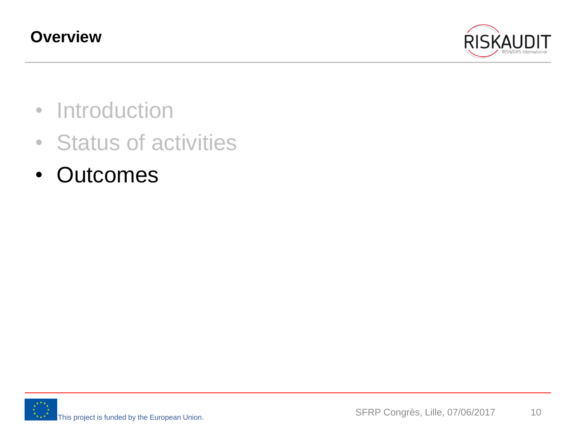

- Introduction
- Status of activities
- Outcomes

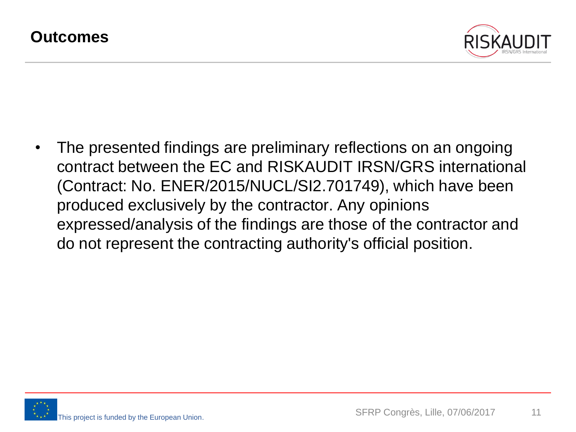

• The presented findings are preliminary reflections on an ongoing contract between the EC and RISKAUDIT IRSN/GRS international (Contract: No. ENER/2015/NUCL/SI2.701749), which have been produced exclusively by the contractor. Any opinions expressed/analysis of the findings are those of the contractor and do not represent the contracting authority's official position.

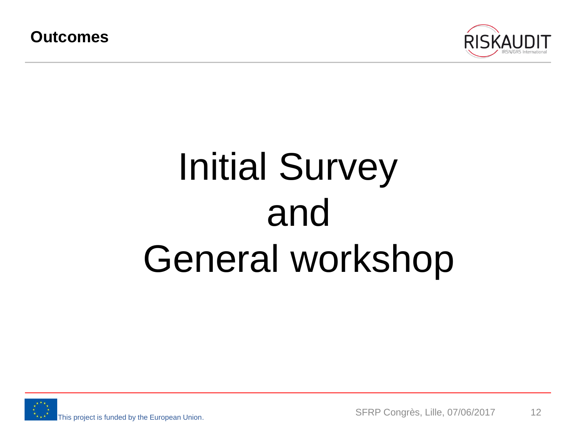

### Initial Survey and General workshop

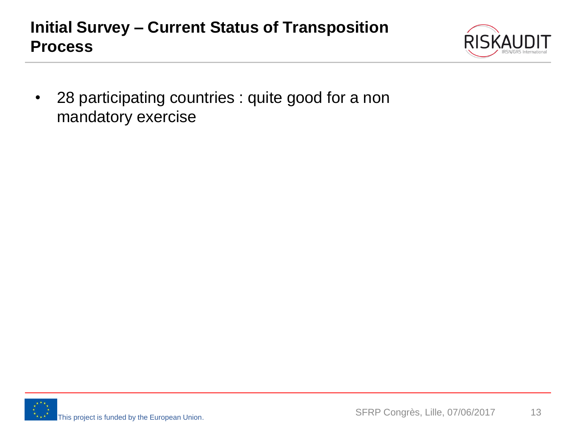#### **Initial Survey – Current Status of Transposition Process**



• 28 participating countries : quite good for a non mandatory exercise

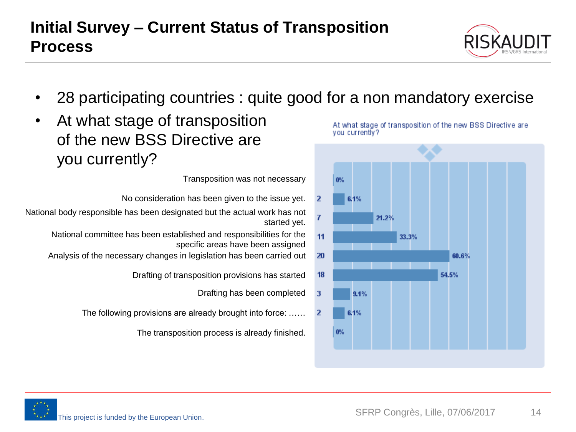• 28 participating countries : quite good for a non mandatory exercise

 $0%$ 

6.1%

 $\overline{2}$ 

• At what stage of transposition of the new BSS Directive are you currently?

Transposition was not necessary

- No consideration has been given to the issue yet.
- National body responsible has been designated but the actual work has not started yet.
	- National committee has been established and responsibilities for the specific areas have been assigned
	- Analysis of the necessary changes in legislation has been carried out
		- Drafting of transposition provisions has started
			- Drafting has been completed
		- The following provisions are already brought into force: ……
			- The transposition process is already finished.





At what stage of transposition of the new BSS Directive are you currently?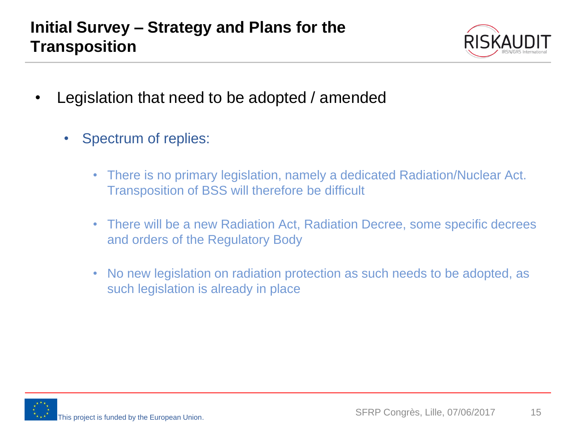

- Legislation that need to be adopted / amended
	- Spectrum of replies:
		- There is no primary legislation, namely a dedicated Radiation/Nuclear Act. Transposition of BSS will therefore be difficult
		- There will be a new Radiation Act, Radiation Decree, some specific decrees and orders of the Regulatory Body
		- No new legislation on radiation protection as such needs to be adopted, as such legislation is already in place

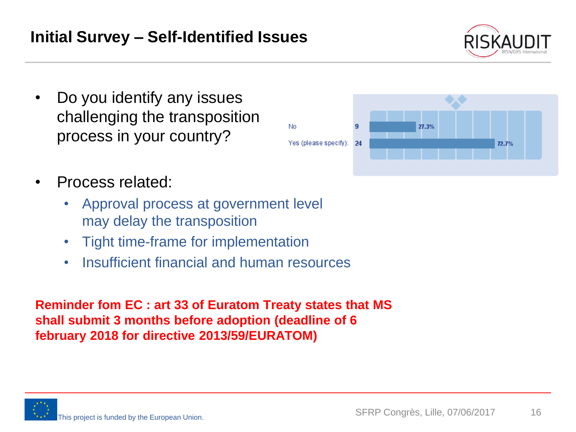- Do you identify any issues challenging the transposition process in your country?
- Process related:
	- Approval process at government level may delay the transposition
	- Tight time-frame for implementation
	- Insufficient financial and human resources

**Reminder fom EC : art 33 of Euratom Treaty states that MS shall submit 3 months before adoption (deadline of 6 february 2018 for directive 2013/59/EURATOM)** 





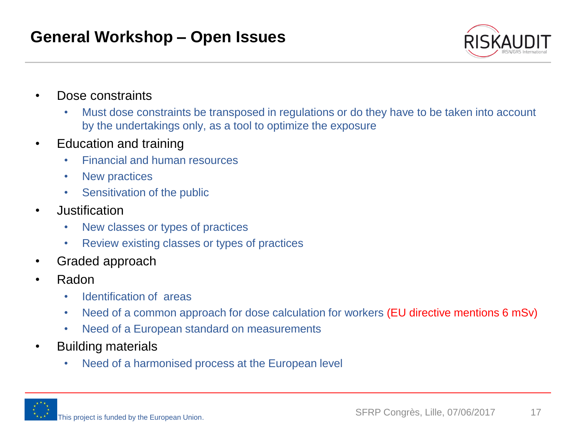

- Dose constraints
	- Must dose constraints be transposed in regulations or do they have to be taken into account by the undertakings only, as a tool to optimize the exposure
- Education and training
	- Financial and human resources
	- New practices
	- Sensitivation of the public
- Justification
	- New classes or types of practices
	- Review existing classes or types of practices
- Graded approach
- Radon
	- Identification of areas
	- Need of a common approach for dose calculation for workers (EU directive mentions 6 mSv)
	- Need of a European standard on measurements
- Building materials
	- Need of a harmonised process at the European level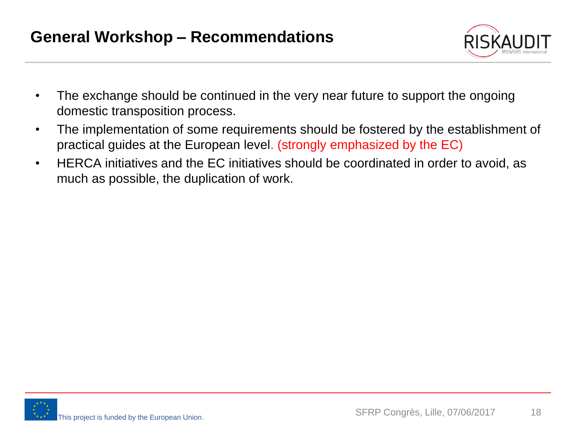

- The exchange should be continued in the very near future to support the ongoing domestic transposition process.
- The implementation of some requirements should be fostered by the establishment of practical guides at the European level. (strongly emphasized by the EC)
- HERCA initiatives and the EC initiatives should be coordinated in order to avoid, as much as possible, the duplication of work.

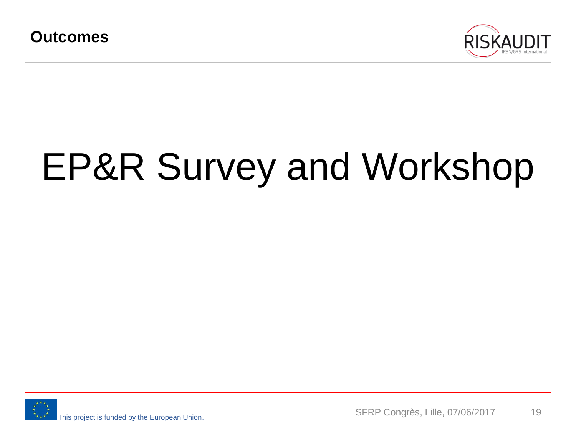

# EP&R Survey and Workshop

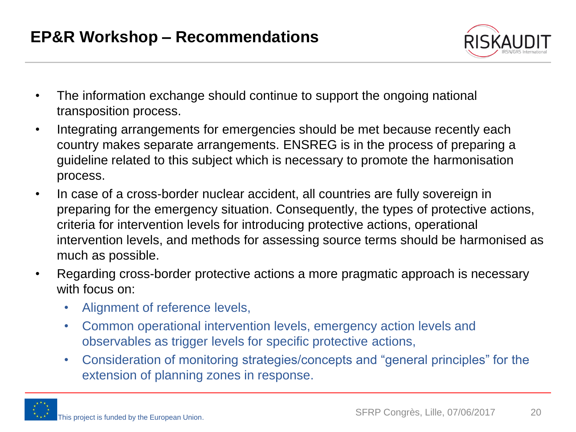

- The information exchange should continue to support the ongoing national transposition process.
- Integrating arrangements for emergencies should be met because recently each country makes separate arrangements. ENSREG is in the process of preparing a guideline related to this subject which is necessary to promote the harmonisation process.
- In case of a cross-border nuclear accident, all countries are fully sovereign in preparing for the emergency situation. Consequently, the types of protective actions, criteria for intervention levels for introducing protective actions, operational intervention levels, and methods for assessing source terms should be harmonised as much as possible.
- Regarding cross-border protective actions a more pragmatic approach is necessary with focus on:
	- Alignment of reference levels,
	- Common operational intervention levels, emergency action levels and observables as trigger levels for specific protective actions,
	- Consideration of monitoring strategies/concepts and "general principles" for the extension of planning zones in response.

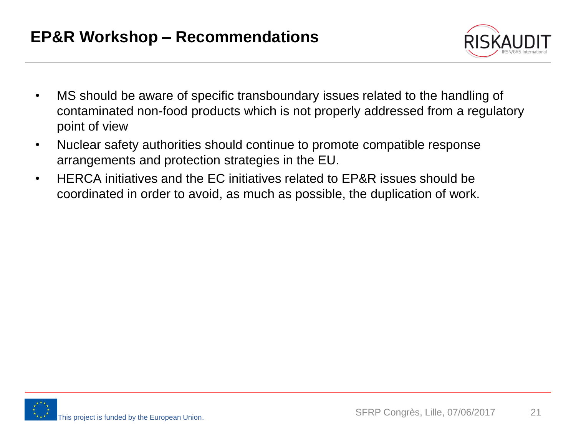

- MS should be aware of specific transboundary issues related to the handling of contaminated non-food products which is not properly addressed from a regulatory point of view
- Nuclear safety authorities should continue to promote compatible response arrangements and protection strategies in the EU.
- HERCA initiatives and the EC initiatives related to EP&R issues should be coordinated in order to avoid, as much as possible, the duplication of work.

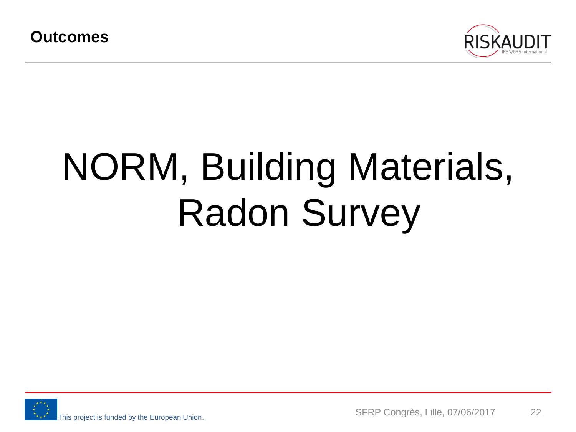

# NORM, Building Materials, Radon Survey

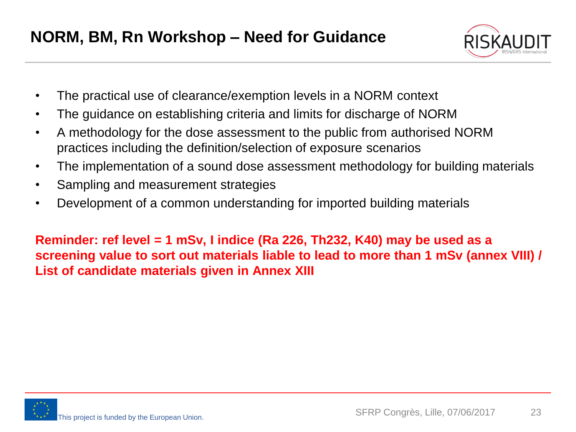

- The practical use of clearance/exemption levels in a NORM context
- The guidance on establishing criteria and limits for discharge of NORM
- A methodology for the dose assessment to the public from authorised NORM practices including the definition/selection of exposure scenarios
- The implementation of a sound dose assessment methodology for building materials
- Sampling and measurement strategies
- Development of a common understanding for imported building materials

**Reminder: ref level = 1 mSv, I indice (Ra 226, Th232, K40) may be used as a screening value to sort out materials liable to lead to more than 1 mSv (annex VIII) / List of candidate materials given in Annex XIII**

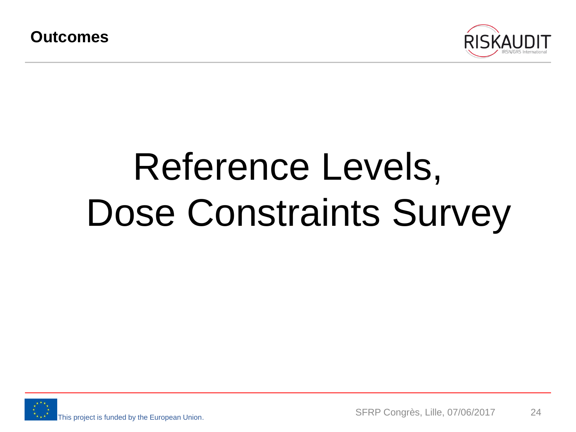

# Reference Levels, Dose Constraints Survey

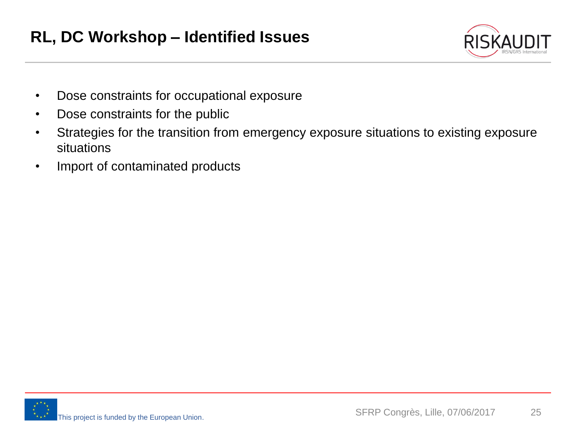

- Dose constraints for occupational exposure
- Dose constraints for the public
- Strategies for the transition from emergency exposure situations to existing exposure situations
- Import of contaminated products

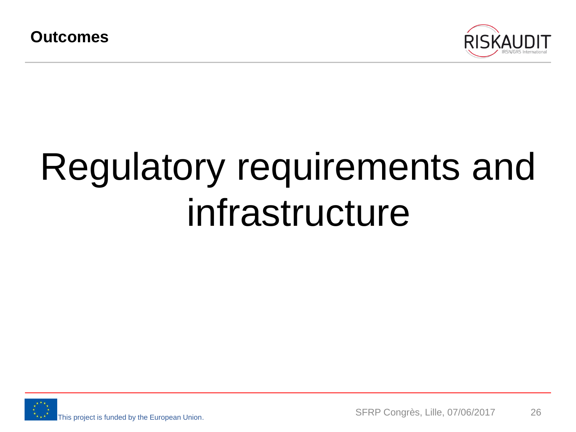

### Regulatory requirements and infrastructure

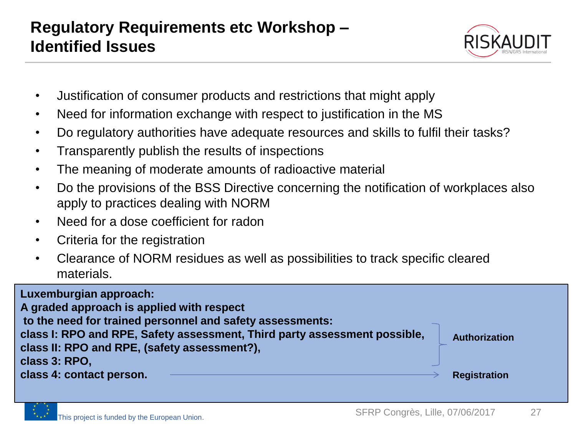

- Justification of consumer products and restrictions that might apply
- Need for information exchange with respect to justification in the MS
- Do regulatory authorities have adequate resources and skills to fulfil their tasks?
- Transparently publish the results of inspections
- The meaning of moderate amounts of radioactive material
- Do the provisions of the BSS Directive concerning the notification of workplaces also apply to practices dealing with NORM
- Need for a dose coefficient for radon
- Criteria for the registration
- Clearance of NORM residues as well as possibilities to track specific cleared materials.

| Luxemburgian approach:<br>A graded approach is applied with respect<br>to the need for trained personnel and safety assessments:           |                     |
|--------------------------------------------------------------------------------------------------------------------------------------------|---------------------|
| class I: RPO and RPE, Safety assessment, Third party assessment possible,<br>class II: RPO and RPE, (safety assessment?),<br>class 3: RPO, | Authorization       |
| class 4: contact person.                                                                                                                   | <b>Registration</b> |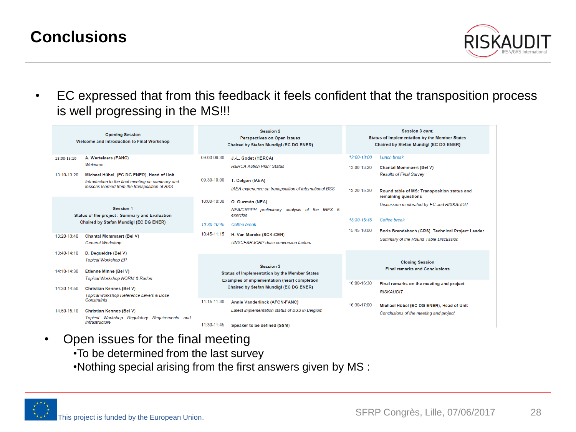#### **Conclusions**



• EC expressed that from this feedback it feels confident that the transposition process is well progressing in the MS!!!

| <b>Opening Session</b><br>Welcome and Introduction to Final Workshop |                                                                                                                                                | <b>Session 2</b><br><b>Perspectives on Open Issues</b><br>Chaired by Stefan Mundigl (EC DG ENER) |                                                                                        | <b>Session 3 cont.</b><br><b>Status of Implementation by the Member States</b><br>Chaired by Stefan Mundigl (EC DG ENER) |                                                                                    |
|----------------------------------------------------------------------|------------------------------------------------------------------------------------------------------------------------------------------------|--------------------------------------------------------------------------------------------------|----------------------------------------------------------------------------------------|--------------------------------------------------------------------------------------------------------------------------|------------------------------------------------------------------------------------|
| 13:00-13:10                                                          | A. Wertelaers (FANC)                                                                                                                           | 09:00-09:30                                                                                      | J.-L. Godet (HERCA)                                                                    | 12:00-13:00                                                                                                              | <b>Lunch break</b>                                                                 |
|                                                                      | Welcome                                                                                                                                        |                                                                                                  | <b>HERCA Action Plan: Status</b>                                                       | 13:00-13:20                                                                                                              | <b>Chantal Mommaert (Bel V)</b>                                                    |
| 13:10-13:20                                                          | Michael Hübel, (EC DG ENER), Head of Unit<br>Introduction to the final meeting on summary and<br>lessons learned from the transposition of BSS | 09:30-10:00                                                                                      | T. Colgan (IAEA)                                                                       |                                                                                                                          | <b>Results of Final Survey</b>                                                     |
|                                                                      |                                                                                                                                                |                                                                                                  | IAEA experience on transposition of international BSS                                  | 13:20-15:30                                                                                                              | Round table of MS: Transposition status and<br>remaining questions                 |
| <b>Session 1</b><br>Status of the project : Summary and Evaluation   |                                                                                                                                                | 10:00-10:30                                                                                      | O. Guzmán (NEA)                                                                        |                                                                                                                          | Discussion moderated by EC and RISKAUDIT                                           |
|                                                                      |                                                                                                                                                |                                                                                                  | NEA/CRPPH preliminary analysis of the INEX 5<br>exercise                               |                                                                                                                          |                                                                                    |
|                                                                      | Chaired by Stefan Mundigl (EC DG ENER)                                                                                                         |                                                                                                  | Coffee break                                                                           | 15:30-15:45                                                                                                              | Coffee break                                                                       |
| 13:20-13:40                                                          |                                                                                                                                                | 10:45-11:15                                                                                      | H. Van Marcke (SCK-CEN)                                                                | 15:45-16:00                                                                                                              | Boris Brendebach (GRS), Technical Project Leader                                   |
|                                                                      | <b>Chantal Mommaert (Bel V)</b><br><b>General Workshop</b>                                                                                     |                                                                                                  | <b>UNSCEAR-ICRP</b> dose conversion factors                                            |                                                                                                                          | <b>Summary of the Round Table Discussion</b>                                       |
| 13:40-14:10                                                          | D. Degueldre (Bel V)                                                                                                                           |                                                                                                  |                                                                                        |                                                                                                                          |                                                                                    |
| 14:10-14:30                                                          | <b>Topical Workshop EP</b><br>Etienne Minne (Bel V)<br><b>Topical Workshop NORM &amp; Radon</b>                                                | <b>Session 3</b><br><b>Status of Implementation by the Member States</b>                         |                                                                                        |                                                                                                                          | <b>Closing Session</b><br><b>Final remarks and Conclusions</b>                     |
| 14:30-14:50                                                          | <b>Christian Kennes (Bel V)</b>                                                                                                                |                                                                                                  | Examples of implementation (near) completion<br>Chaired by Stefan Mundigl (EC DG ENER) | 16:00-16:30                                                                                                              | Final remarks on the meeting and project<br><b>RISKAUDIT</b>                       |
|                                                                      | Topical workshop Reference Levels & Dose<br>Constraints                                                                                        | 11:15-11:30                                                                                      | Annie Vanderlinck (AFCN-FANC)                                                          |                                                                                                                          |                                                                                    |
| 14:50-15:10                                                          | <b>Christian Kennes (Bel V)</b><br>Topical Workshop Regulatory Reguirements and                                                                |                                                                                                  | Latest implementation status of BSS in Belgium                                         | 16:30-17:00                                                                                                              | Michael Hübel (EC DG ENER). Head of Unit<br>Conclusions of the meeting and project |
|                                                                      | <b>Infrastructure</b>                                                                                                                          | 11:30-11:45                                                                                      | Speaker to be defined (SSM)                                                            |                                                                                                                          |                                                                                    |

- Open issues for the final meeting
	- •To be determined from the last survey
	- •Nothing special arising from the first answers given by MS :